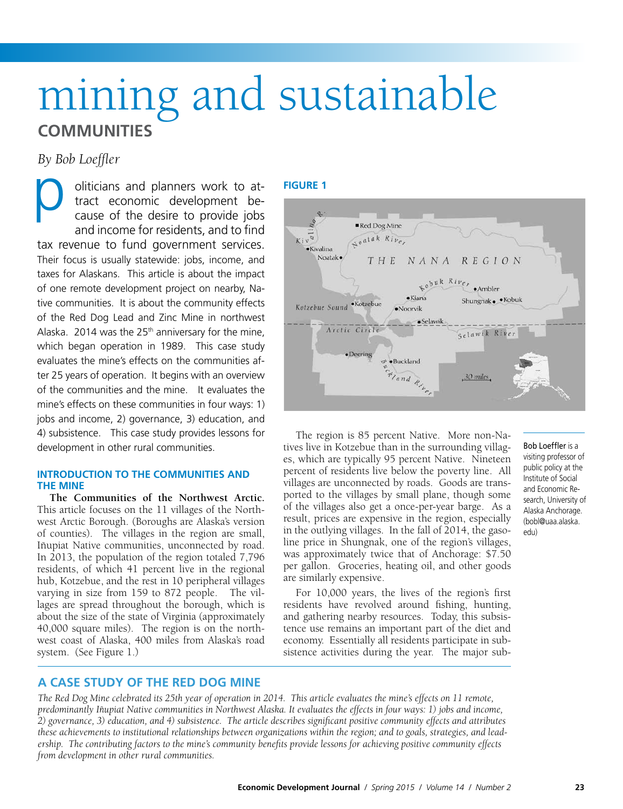# mining and sustainable **COMMUNITIES**

*By Bob Loeffler*

oliticians and planners work to attract economic development because of the desire to provide jobs and income for residents, and to find tax revenue to fund government services. Their focus is usually statewide: jobs, income, and taxes for Alaskans. This article is about the impact of one remote development project on nearby, Native communities. It is about the community effects of the Red Dog Lead and Zinc Mine in northwest Alaska. 2014 was the  $25<sup>th</sup>$  anniversary for the mine, which began operation in 1989. This case study evaluates the mine's effects on the communities after 25 years of operation. It begins with an overview of the communities and the mine. It evaluates the mine's effects on these communities in four ways: 1) jobs and income, 2) governance, 3) education, and 4) subsistence. This case study provides lessons for development in other rural communities. p<sub>yre</sub>

### **INTRODUCTION TO THE COMMUNITIES AND THE MINE**

**The Communities of the Northwest Arctic.** This article focuses on the 11 villages of the Northwest Arctic Borough. (Boroughs are Alaska's version of counties). The villages in the region are small, Iñupiat Native communities, unconnected by road. In 2013, the population of the region totaled 7,796 residents, of which 41 percent live in the regional hub, Kotzebue, and the rest in 10 peripheral villages varying in size from 159 to 872 people. The villages are spread throughout the borough, which is about the size of the state of Virginia (approximately 40,000 square miles). The region is on the northwest coast of Alaska, 400 miles from Alaska's road system. (See Figure 1.)

#### **FIGURE 1**



The region is 85 percent Native. More non-Natives live in Kotzebue than in the surrounding villages, which are typically 95 percent Native. Nineteen percent of residents live below the poverty line. All villages are unconnected by roads. Goods are transported to the villages by small plane, though some of the villages also get a once-per-year barge. As a result, prices are expensive in the region, especially in the outlying villages. In the fall of 2014, the gasoline price in Shungnak, one of the region's villages, was approximately twice that of Anchorage: \$7.50 per gallon. Groceries, heating oil, and other goods are similarly expensive.

For 10,000 years, the lives of the region's first residents have revolved around fishing, hunting, and gathering nearby resources. Today, this subsistence use remains an important part of the diet and economy. Essentially all residents participate in subsistence activities during the year. The major subBob Loeffler is a visiting professor of public policy at the Institute of Social and Economic Research, University of Alaska Anchorage. (bobl@uaa.alaska. edu)

# **A CASE STUDY OF THE RED DOG MINE**

*The Red Dog Mine celebrated its 25th year of operation in 2014. This article evaluates the mine's effects on 11 remote, predominantly Iñupiat Native communities in Northwest Alaska. It evaluates the effects in four ways: 1) jobs and income, 2) governance, 3) education, and 4) subsistence. The article describes significant positive community effects and attributes these achievements to institutional relationships between organizations within the region; and to goals, strategies, and leadership. The contributing factors to the mine's community benefits provide lessons for achieving positive community effects from development in other rural communities.*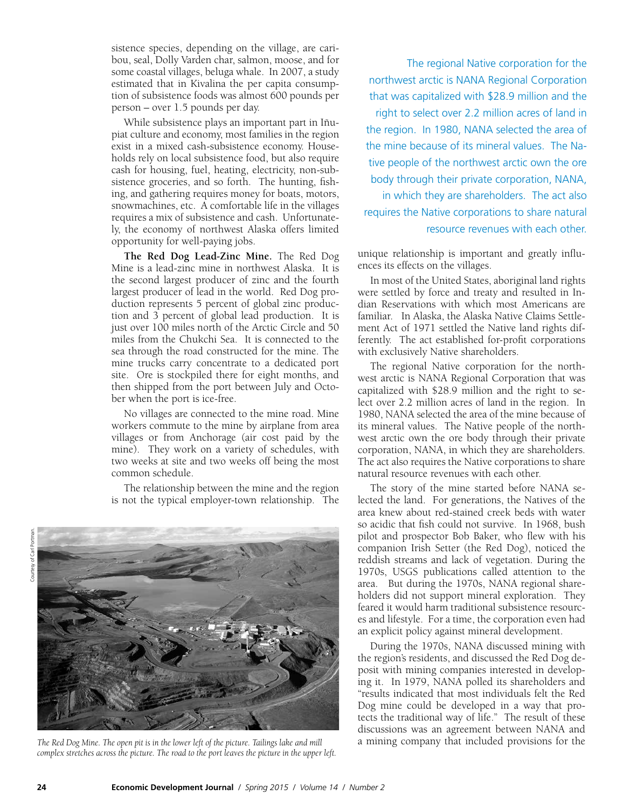sistence species, depending on the village, are caribou, seal, Dolly Varden char, salmon, moose, and for some coastal villages, beluga whale. In 2007, a study estimated that in Kivalina the per capita consumption of subsistence foods was almost 600 pounds per person – over 1.5 pounds per day.

While subsistence plays an important part in Iñupiat culture and economy, most families in the region exist in a mixed cash-subsistence economy. Households rely on local subsistence food, but also require cash for housing, fuel, heating, electricity, non-subsistence groceries, and so forth. The hunting, fishing, and gathering requires money for boats, motors, snowmachines, etc. A comfortable life in the villages requires a mix of subsistence and cash. Unfortunately, the economy of northwest Alaska offers limited opportunity for well-paying jobs.

**The Red Dog Lead-Zinc Mine.** The Red Dog Mine is a lead-zinc mine in northwest Alaska. It is the second largest producer of zinc and the fourth largest producer of lead in the world. Red Dog production represents 5 percent of global zinc production and 3 percent of global lead production. It is just over 100 miles north of the Arctic Circle and 50 miles from the Chukchi Sea. It is connected to the sea through the road constructed for the mine. The mine trucks carry concentrate to a dedicated port site. Ore is stockpiled there for eight months, and then shipped from the port between July and October when the port is ice-free.

No villages are connected to the mine road. Mine workers commute to the mine by airplane from area villages or from Anchorage (air cost paid by the mine). They work on a variety of schedules, with two weeks at site and two weeks off being the most common schedule.

The relationship between the mine and the region is not the typical employer-town relationship. The



*The Red Dog Mine. The open pit is in the lower left of the picture. Tailings lake and mill* a mining company that included provisions for the *complex stretches across the picture. The road to the port leaves the picture in the upper left.*

The regional Native corporation for the northwest arctic is NANA Regional Corporation that was capitalized with \$28.9 million and the right to select over 2.2 million acres of land in the region. In 1980, NANA selected the area of the mine because of its mineral values. The Native people of the northwest arctic own the ore body through their private corporation, NANA, in which they are shareholders. The act also requires the Native corporations to share natural resource revenues with each other.

unique relationship is important and greatly influences its effects on the villages.

In most of the United States, aboriginal land rights were settled by force and treaty and resulted in Indian Reservations with which most Americans are familiar. In Alaska, the Alaska Native Claims Settlement Act of 1971 settled the Native land rights differently. The act established for-profit corporations with exclusively Native shareholders.

The regional Native corporation for the northwest arctic is NANA Regional Corporation that was capitalized with \$28.9 million and the right to select over 2.2 million acres of land in the region. In 1980, NANA selected the area of the mine because of its mineral values. The Native people of the northwest arctic own the ore body through their private corporation, NANA, in which they are shareholders. The act also requires the Native corporations to share natural resource revenues with each other.

The story of the mine started before NANA selected the land. For generations, the Natives of the area knew about red-stained creek beds with water so acidic that fish could not survive. In 1968, bush pilot and prospector Bob Baker, who flew with his companion Irish Setter (the Red Dog), noticed the reddish streams and lack of vegetation. During the 1970s, USGS publications called attention to the area. But during the 1970s, NANA regional shareholders did not support mineral exploration. They feared it would harm traditional subsistence resources and lifestyle. For a time, the corporation even had an explicit policy against mineral development.

During the 1970s, NANA discussed mining with the region's residents, and discussed the Red Dog deposit with mining companies interested in developing it. In 1979, NANA polled its shareholders and "results indicated that most individuals felt the Red Dog mine could be developed in a way that protects the traditional way of life." The result of these discussions was an agreement between NANA and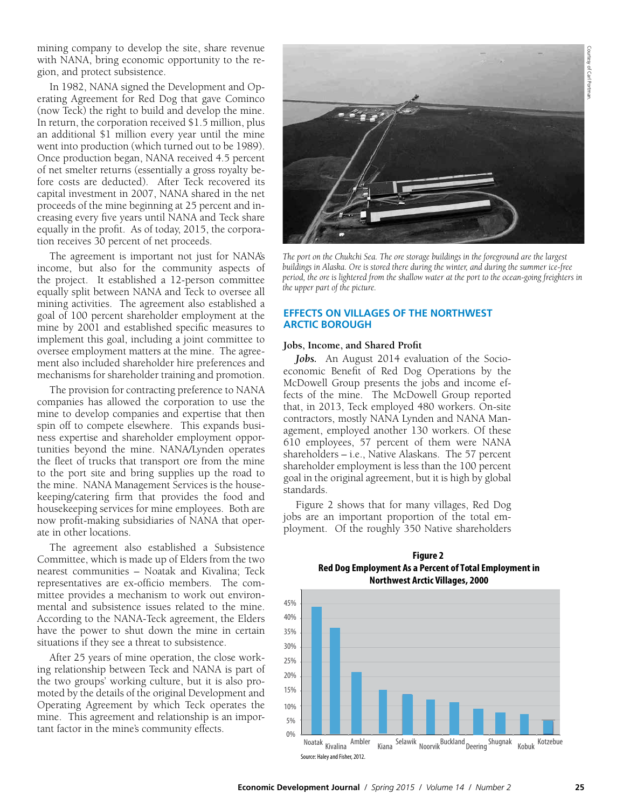mining company to develop the site, share revenue with NANA, bring economic opportunity to the region, and protect subsistence.

In 1982, NANA signed the Development and Operating Agreement for Red Dog that gave Cominco (now Teck) the right to build and develop the mine. In return, the corporation received \$1.5 million, plus an additional \$1 million every year until the mine went into production (which turned out to be 1989). Once production began, NANA received 4.5 percent of net smelter returns (essentially a gross royalty before costs are deducted). After Teck recovered its capital investment in 2007, NANA shared in the net proceeds of the mine beginning at 25 percent and increasing every five years until NANA and Teck share equally in the profit. As of today, 2015, the corporation receives 30 percent of net proceeds.

The agreement is important not just for NANA's income, but also for the community aspects of the project. It established a 12-person committee equally split between NANA and Teck to oversee all mining activities. The agreement also established a goal of 100 percent shareholder employment at the mine by 2001 and established specific measures to implement this goal, including a joint committee to oversee employment matters at the mine. The agreement also included shareholder hire preferences and mechanisms for shareholder training and promotion.

The provision for contracting preference to NANA companies has allowed the corporation to use the mine to develop companies and expertise that then spin off to compete elsewhere. This expands business expertise and shareholder employment opportunities beyond the mine. NANA/Lynden operates the fleet of trucks that transport ore from the mine to the port site and bring supplies up the road to the mine. NANA Management Services is the housekeeping/catering firm that provides the food and housekeeping services for mine employees. Both are now profit-making subsidiaries of NANA that operate in other locations.

The agreement also established a Subsistence Committee, which is made up of Elders from the two nearest communities – Noatak and Kivalina; Teck representatives are ex-officio members. The committee provides a mechanism to work out environmental and subsistence issues related to the mine. According to the NANA-Teck agreement, the Elders have the power to shut down the mine in certain situations if they see a threat to subsistence.

After 25 years of mine operation, the close working relationship between Teck and NANA is part of the two groups' working culture, but it is also promoted by the details of the original Development and Operating Agreement by which Teck operates the mine. This agreement and relationship is an important factor in the mine's community effects.



*The port on the Chukchi Sea. The ore storage buildings in the foreground are the largest buildings in Alaska. Ore is stored there during the winter, and during the summer ice-free period, the ore is lightered from the shallow water at the port to the ocean-going freighters in the upper part of the picture.*

## **EFFECTS ON VILLAGES OF THE NORTHWEST ARCTIC BOROUGH**

#### **Jobs, Income, and Shared Profit**

Jobs. An August 2014 evaluation of the Socioeconomic Benefit of Red Dog Operations by the McDowell Group presents the jobs and income effects of the mine. The McDowell Group reported that, in 2013, Teck employed 480 workers. On-site contractors, mostly NANA Lynden and NANA Management, employed another 130 workers. Of these 610 employees, 57 percent of them were NANA shareholders – i.e., Native Alaskans. The 57 percent shareholder employment is less than the 100 percent goal in the original agreement, but it is high by global standards.

Figure 2 shows that for many villages, Red Dog jobs are an important proportion of the total employment. Of the roughly 350 Native shareholders



**Figure 2 Red Dog Employment As a Percent of Total Employment in Northwest Arctic Villages, 2000**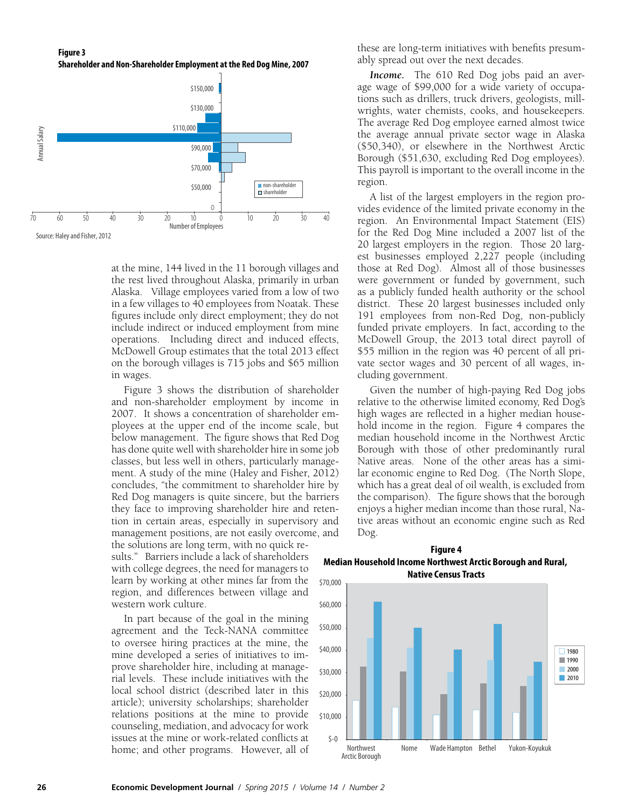**Figure 3 Shareholder and Non-Shareholder Employment at the Red Dog Mine, 2007**



at the mine, 144 lived in the 11 borough villages and the rest lived throughout Alaska, primarily in urban Alaska. Village employees varied from a low of two in a few villages to 40 employees from Noatak. These figures include only direct employment; they do not include indirect or induced employment from mine operations. Including direct and induced effects, McDowell Group estimates that the total 2013 effect on the borough villages is 715 jobs and \$65 million in wages.

Figure 3 shows the distribution of shareholder and non-shareholder employment by income in 2007. It shows a concentration of shareholder employees at the upper end of the income scale, but below management. The figure shows that Red Dog has done quite well with shareholder hire in some job classes, but less well in others, particularly management. A study of the mine (Haley and Fisher, 2012) concludes, "the commitment to shareholder hire by Red Dog managers is quite sincere, but the barriers they face to improving shareholder hire and retention in certain areas, especially in supervisory and management positions, are not easily overcome, and the solutions are long term, with no quick results." Barriers include a lack of shareholders with college degrees, the need for managers to learn by working at other mines far from the region, and differences between village and western work culture.

In part because of the goal in the mining agreement and the Teck-NANA committee to oversee hiring practices at the mine, the mine developed a series of initiatives to improve shareholder hire, including at managerial levels. These include initiatives with the local school district (described later in this article); university scholarships; shareholder relations positions at the mine to provide counseling, mediation, and advocacy for work issues at the mine or work-related conflicts at home; and other programs. However, all of these are long-term initiatives with benefits presumably spread out over the next decades.

*Income.* The 610 Red Dog jobs paid an average wage of \$99,000 for a wide variety of occupations such as drillers, truck drivers, geologists, millwrights, water chemists, cooks, and housekeepers. The average Red Dog employee earned almost twice the average annual private sector wage in Alaska (\$50,340), or elsewhere in the Northwest Arctic Borough (\$51,630, excluding Red Dog employees). This payroll is important to the overall income in the region.

A list of the largest employers in the region provides evidence of the limited private economy in the region. An Environmental Impact Statement (EIS) for the Red Dog Mine included a 2007 list of the 20 largest employers in the region. Those 20 largest businesses employed 2,227 people (including those at Red Dog). Almost all of those businesses were government or funded by government, such as a publicly funded health authority or the school district. These 20 largest businesses included only 191 employees from non-Red Dog, non-publicly funded private employers. In fact, according to the McDowell Group, the 2013 total direct payroll of \$55 million in the region was 40 percent of all private sector wages and 30 percent of all wages, including government.

Given the number of high-paying Red Dog jobs relative to the otherwise limited economy, Red Dog's high wages are reflected in a higher median household income in the region. Figure 4 compares the median household income in the Northwest Arctic Borough with those of other predominantly rural Native areas. None of the other areas has a similar economic engine to Red Dog. (The North Slope, which has a great deal of oil wealth, is excluded from the comparison). The figure shows that the borough enjoys a higher median income than those rural, Native areas without an economic engine such as Red Dog.

**Figure 4 Median Household Income Northwest Arctic Borough and Rural, Native Census Tracts**

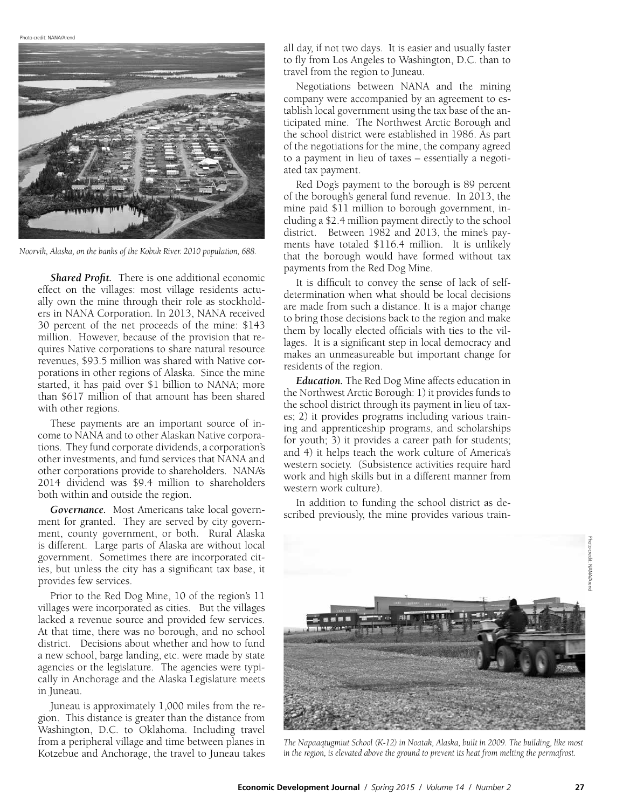Photo credit: NANA/Arend



*Noorvik, Alaska, on the banks of the Kobuk River. 2010 population, 688.*

*Shared Profit.* There is one additional economic effect on the villages: most village residents actually own the mine through their role as stockholders in NANA Corporation. In 2013, NANA received 30 percent of the net proceeds of the mine: \$143 million. However, because of the provision that requires Native corporations to share natural resource revenues, \$93.5 million was shared with Native corporations in other regions of Alaska. Since the mine started, it has paid over \$1 billion to NANA; more than \$617 million of that amount has been shared with other regions.

These payments are an important source of income to NANA and to other Alaskan Native corporations. They fund corporate dividends, a corporation's other investments, and fund services that NANA and other corporations provide to shareholders. NANA's 2014 dividend was \$9.4 million to shareholders both within and outside the region.

*Governance.* Most Americans take local government for granted. They are served by city government, county government, or both. Rural Alaska is different. Large parts of Alaska are without local government. Sometimes there are incorporated cities, but unless the city has a significant tax base, it provides few services.

Prior to the Red Dog Mine, 10 of the region's 11 villages were incorporated as cities. But the villages lacked a revenue source and provided few services. At that time, there was no borough, and no school district. Decisions about whether and how to fund a new school, barge landing, etc. were made by state agencies or the legislature. The agencies were typically in Anchorage and the Alaska Legislature meets in Juneau.

Juneau is approximately 1,000 miles from the region. This distance is greater than the distance from Washington, D.C. to Oklahoma. Including travel from a peripheral village and time between planes in Kotzebue and Anchorage, the travel to Juneau takes

all day, if not two days. It is easier and usually faster to fly from Los Angeles to Washington, D.C. than to travel from the region to Juneau.

Negotiations between NANA and the mining company were accompanied by an agreement to establish local government using the tax base of the anticipated mine. The Northwest Arctic Borough and the school district were established in 1986. As part of the negotiations for the mine, the company agreed to a payment in lieu of taxes – essentially a negotiated tax payment.

Red Dog's payment to the borough is 89 percent of the borough's general fund revenue. In 2013, the mine paid \$11 million to borough government, including a \$2.4 million payment directly to the school district. Between 1982 and 2013, the mine's payments have totaled \$116.4 million. It is unlikely that the borough would have formed without tax payments from the Red Dog Mine.

It is difficult to convey the sense of lack of selfdetermination when what should be local decisions are made from such a distance. It is a major change to bring those decisions back to the region and make them by locally elected officials with ties to the villages. It is a significant step in local democracy and makes an unmeasureable but important change for residents of the region.

*Education.* The Red Dog Mine affects education in the Northwest Arctic Borough: 1) it provides funds to the school district through its payment in lieu of taxes; 2) it provides programs including various training and apprenticeship programs, and scholarships for youth; 3) it provides a career path for students; and 4) it helps teach the work culture of America's western society. (Subsistence activities require hard work and high skills but in a different manner from western work culture).

In addition to funding the school district as described previously, the mine provides various train-



*The Napaaqtugmiut School (K-12) in Noatak, Alaska, built in 2009. The building, like most in the region, is elevated above the ground to prevent its heat from melting the permafrost.*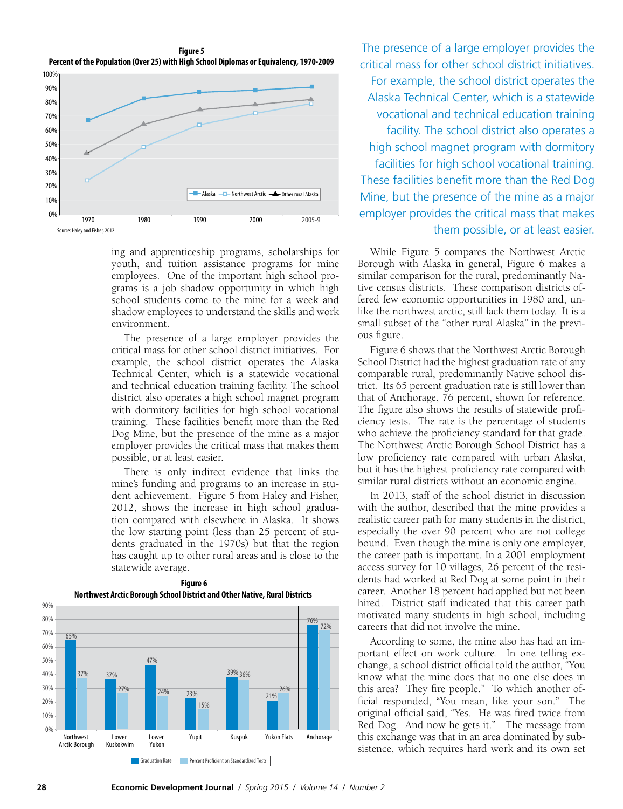**Figure 5 Percent of the Population (Over 25) with High School Diplomas or Equivalency, 1970-2009**



ing and apprenticeship programs, scholarships for youth, and tuition assistance programs for mine employees. One of the important high school programs is a job shadow opportunity in which high school students come to the mine for a week and shadow employees to understand the skills and work environment.

The presence of a large employer provides the critical mass for other school district initiatives. For example, the school district operates the Alaska Technical Center, which is a statewide vocational and technical education training facility. The school district also operates a high school magnet program with dormitory facilities for high school vocational training. These facilities benefit more than the Red Dog Mine, but the presence of the mine as a major employer provides the critical mass that makes them possible, or at least easier.

There is only indirect evidence that links the mine's funding and programs to an increase in student achievement. Figure 5 from Haley and Fisher, 2012, shows the increase in high school graduation compared with elsewhere in Alaska. It shows the low starting point (less than 25 percent of students graduated in the 1970s) but that the region has caught up to other rural areas and is close to the statewide average.



**Figure 6 Northwest Arctic Borough School District and Other Native, Rural Districts** 

The presence of a large employer provides the critical mass for other school district initiatives. For example, the school district operates the Alaska Technical Center, which is a statewide vocational and technical education training facility. The school district also operates a high school magnet program with dormitory facilities for high school vocational training. These facilities benefit more than the Red Dog Mine, but the presence of the mine as a major employer provides the critical mass that makes them possible, or at least easier.

While Figure 5 compares the Northwest Arctic Borough with Alaska in general, Figure 6 makes a similar comparison for the rural, predominantly Native census districts. These comparison districts offered few economic opportunities in 1980 and, unlike the northwest arctic, still lack them today. It is a small subset of the "other rural Alaska" in the previous figure.

Figure 6 shows that the Northwest Arctic Borough School District had the highest graduation rate of any comparable rural, predominantly Native school district. Its 65 percent graduation rate is still lower than that of Anchorage, 76 percent, shown for reference. The figure also shows the results of statewide proficiency tests. The rate is the percentage of students who achieve the proficiency standard for that grade. The Northwest Arctic Borough School District has a low proficiency rate compared with urban Alaska, but it has the highest proficiency rate compared with similar rural districts without an economic engine.

In 2013, staff of the school district in discussion with the author, described that the mine provides a realistic career path for many students in the district, especially the over 90 percent who are not college bound. Even though the mine is only one employer, the career path is important. In a 2001 employment access survey for 10 villages, 26 percent of the residents had worked at Red Dog at some point in their career. Another 18 percent had applied but not been hired. District staff indicated that this career path motivated many students in high school, including careers that did not involve the mine.

According to some, the mine also has had an important effect on work culture. In one telling exchange, a school district official told the author, "You know what the mine does that no one else does in this area? They fire people." To which another official responded, "You mean, like your son." The original official said, "Yes. He was fired twice from Red Dog. And now he gets it." The message from this exchange was that in an area dominated by subsistence, which requires hard work and its own set

#### **28 Economic Development Journal** */ Spring 2015 / Volume 14 / Number 2*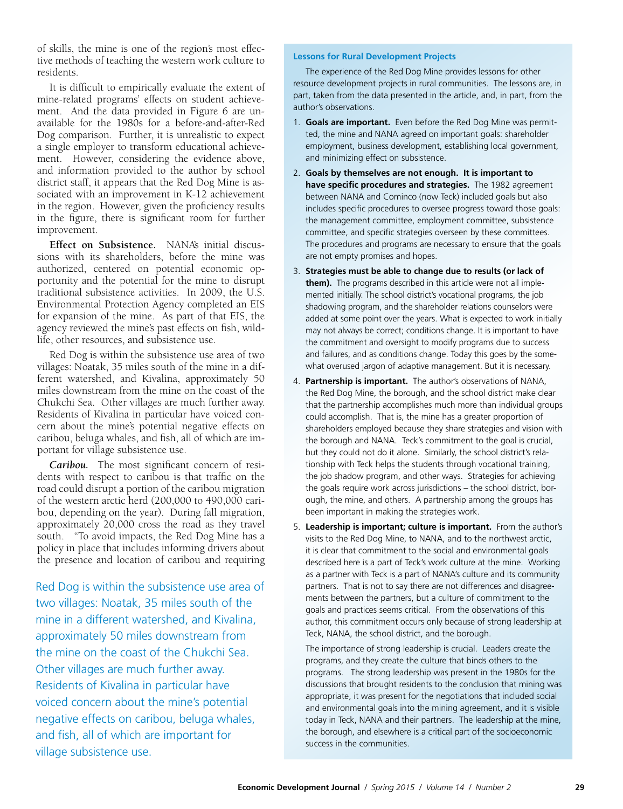of skills, the mine is one of the region's most effective methods of teaching the western work culture to residents.

It is difficult to empirically evaluate the extent of mine-related programs' effects on student achievement. And the data provided in Figure 6 are unavailable for the 1980s for a before-and-after-Red Dog comparison. Further, it is unrealistic to expect a single employer to transform educational achievement. However, considering the evidence above, and information provided to the author by school district staff, it appears that the Red Dog Mine is associated with an improvement in K-12 achievement in the region. However, given the proficiency results in the figure, there is significant room for further improvement.

**Effect on Subsistence.** NANA's initial discussions with its shareholders, before the mine was authorized, centered on potential economic opportunity and the potential for the mine to disrupt traditional subsistence activities. In 2009, the U.S. Environmental Protection Agency completed an EIS for expansion of the mine. As part of that EIS, the agency reviewed the mine's past effects on fish, wildlife, other resources, and subsistence use.

Red Dog is within the subsistence use area of two villages: Noatak, 35 miles south of the mine in a different watershed, and Kivalina, approximately 50 miles downstream from the mine on the coast of the Chukchi Sea. Other villages are much further away. Residents of Kivalina in particular have voiced concern about the mine's potential negative effects on caribou, beluga whales, and fish, all of which are important for village subsistence use.

*Caribou.* The most significant concern of residents with respect to caribou is that traffic on the road could disrupt a portion of the caribou migration of the western arctic herd (200,000 to 490,000 caribou, depending on the year). During fall migration, approximately 20,000 cross the road as they travel south. "To avoid impacts, the Red Dog Mine has a policy in place that includes informing drivers about the presence and location of caribou and requiring

Red Dog is within the subsistence use area of two villages: Noatak, 35 miles south of the mine in a different watershed, and Kivalina, approximately 50 miles downstream from the mine on the coast of the Chukchi Sea. Other villages are much further away. Residents of Kivalina in particular have voiced concern about the mine's potential negative effects on caribou, beluga whales, and fish, all of which are important for village subsistence use.

#### **Lessons for Rural Development Projects**

The experience of the Red Dog Mine provides lessons for other resource development projects in rural communities. The lessons are, in part, taken from the data presented in the article, and, in part, from the author's observations.

- 1. **Goals are important.** Even before the Red Dog Mine was permitted, the mine and NANA agreed on important goals: shareholder employment, business development, establishing local government, and minimizing effect on subsistence.
- 2. **Goals by themselves are not enough. It is important to have specific procedures and strategies.** The 1982 agreement between NANA and Cominco (now Teck) included goals but also includes specific procedures to oversee progress toward those goals: the management committee, employment committee, subsistence committee, and specific strategies overseen by these committees. The procedures and programs are necessary to ensure that the goals are not empty promises and hopes.
- 3. **Strategies must be able to change due to results (or lack of them).** The programs described in this article were not all implemented initially. The school district's vocational programs, the job shadowing program, and the shareholder relations counselors were added at some point over the years. What is expected to work initially may not always be correct; conditions change. It is important to have the commitment and oversight to modify programs due to success and failures, and as conditions change. Today this goes by the somewhat overused jargon of adaptive management. But it is necessary.
- 4. **Partnership is important.** The author's observations of NANA, the Red Dog Mine, the borough, and the school district make clear that the partnership accomplishes much more than individual groups could accomplish. That is, the mine has a greater proportion of shareholders employed because they share strategies and vision with the borough and NANA. Teck's commitment to the goal is crucial, but they could not do it alone. Similarly, the school district's relationship with Teck helps the students through vocational training, the job shadow program, and other ways. Strategies for achieving the goals require work across jurisdictions – the school district, borough, the mine, and others. A partnership among the groups has been important in making the strategies work.
- 5. **Leadership is important; culture is important.** From the author's visits to the Red Dog Mine, to NANA, and to the northwest arctic, it is clear that commitment to the social and environmental goals described here is a part of Teck's work culture at the mine. Working as a partner with Teck is a part of NANA's culture and its community partners. That is not to say there are not differences and disagreements between the partners, but a culture of commitment to the goals and practices seems critical. From the observations of this author, this commitment occurs only because of strong leadership at Teck, NANA, the school district, and the borough.

The importance of strong leadership is crucial. Leaders create the programs, and they create the culture that binds others to the programs. The strong leadership was present in the 1980s for the discussions that brought residents to the conclusion that mining was appropriate, it was present for the negotiations that included social and environmental goals into the mining agreement, and it is visible today in Teck, NANA and their partners. The leadership at the mine, the borough, and elsewhere is a critical part of the socioeconomic success in the communities.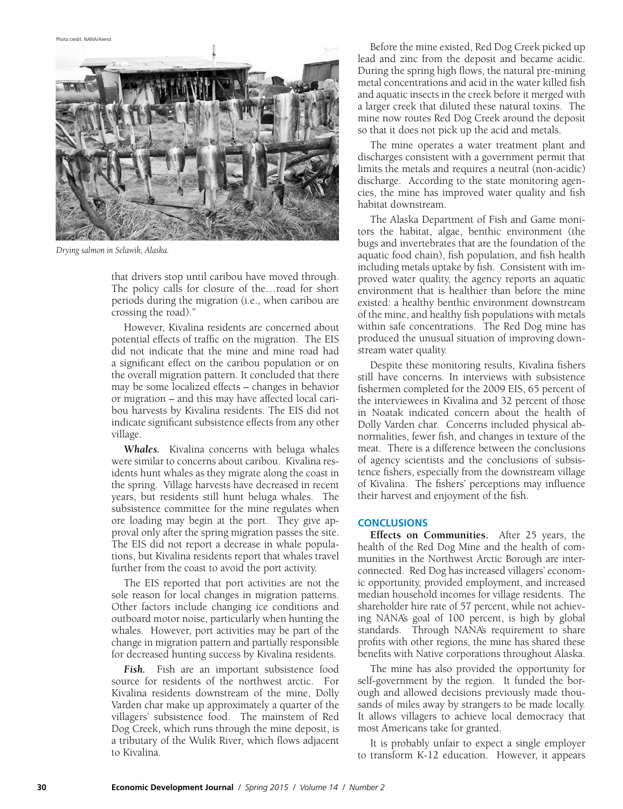Photo credit: NANA/Arend



*Drying salmon in Selawik, Alaska.*

that drivers stop until caribou have moved through. The policy calls for closure of the…road for short periods during the migration (i.e., when caribou are crossing the road)."

However, Kivalina residents are concerned about potential effects of traffic on the migration. The EIS did not indicate that the mine and mine road had a significant effect on the caribou population or on the overall migration pattern. It concluded that there may be some localized effects – changes in behavior or migration – and this may have affected local caribou harvests by Kivalina residents. The EIS did not indicate significant subsistence effects from any other village.

*Whales.* Kivalina concerns with beluga whales were similar to concerns about caribou. Kivalina residents hunt whales as they migrate along the coast in the spring. Village harvests have decreased in recent years, but residents still hunt beluga whales. The subsistence committee for the mine regulates when ore loading may begin at the port. They give approval only after the spring migration passes the site. The EIS did not report a decrease in whale populations, but Kivalina residents report that whales travel further from the coast to avoid the port activity.

The EIS reported that port activities are not the sole reason for local changes in migration patterns. Other factors include changing ice conditions and outboard motor noise, particularly when hunting the whales. However, port activities may be part of the change in migration pattern and partially responsible for decreased hunting success by Kivalina residents.

*Fish.* Fish are an important subsistence food source for residents of the northwest arctic. For Kivalina residents downstream of the mine, Dolly Varden char make up approximately a quarter of the villagers' subsistence food. The mainstem of Red Dog Creek, which runs through the mine deposit, is a tributary of the Wulik River, which flows adjacent to Kivalina.

Before the mine existed, Red Dog Creek picked up lead and zinc from the deposit and became acidic. During the spring high flows, the natural pre-mining metal concentrations and acid in the water killed fish and aquatic insects in the creek before it merged with a larger creek that diluted these natural toxins. The mine now routes Red Dog Creek around the deposit so that it does not pick up the acid and metals.

The mine operates a water treatment plant and discharges consistent with a government permit that limits the metals and requires a neutral (non-acidic) discharge. According to the state monitoring agencies, the mine has improved water quality and fish habitat downstream.

The Alaska Department of Fish and Game monitors the habitat, algae, benthic environment (the bugs and invertebrates that are the foundation of the aquatic food chain), fish population, and fish health including metals uptake by fish. Consistent with improved water quality, the agency reports an aquatic environment that is healthier than before the mine existed: a healthy benthic environment downstream of the mine, and healthy fish populations with metals within safe concentrations. The Red Dog mine has produced the unusual situation of improving downstream water quality.

Despite these monitoring results, Kivalina fishers still have concerns. In interviews with subsistence fishermen completed for the 2009 EIS, 65 percent of the interviewees in Kivalina and 32 percent of those in Noatak indicated concern about the health of Dolly Varden char. Concerns included physical abnormalities, fewer fish, and changes in texture of the meat. There is a difference between the conclusions of agency scientists and the conclusions of subsistence fishers, especially from the downstream village of Kivalina. The fishers' perceptions may influence their harvest and enjoyment of the fish.

#### **CONCLUSIONS**

**Effects on Communities.** After 25 years, the health of the Red Dog Mine and the health of communities in the Northwest Arctic Borough are interconnected. Red Dog has increased villagers' economic opportunity, provided employment, and increased median household incomes for village residents. The shareholder hire rate of 57 percent, while not achieving NANA's goal of 100 percent, is high by global standards. Through NANA's requirement to share profits with other regions, the mine has shared these benefits with Native corporations throughout Alaska.

The mine has also provided the opportunity for self-government by the region. It funded the borough and allowed decisions previously made thousands of miles away by strangers to be made locally. It allows villagers to achieve local democracy that most Americans take for granted.

It is probably unfair to expect a single employer to transform K-12 education. However, it appears